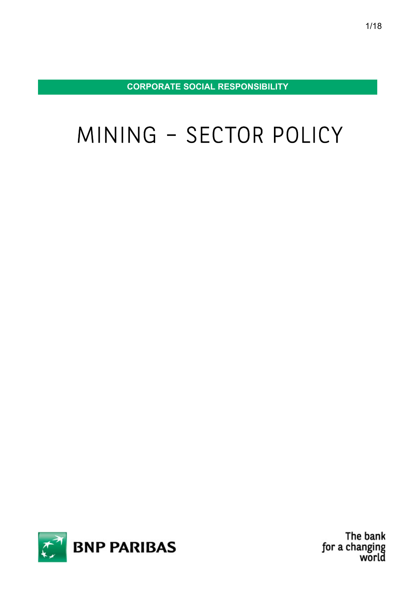CORPORATE SOCIAL RESPONSIBILITY

# MINING – SECTOR POLICY



The bank for a changing world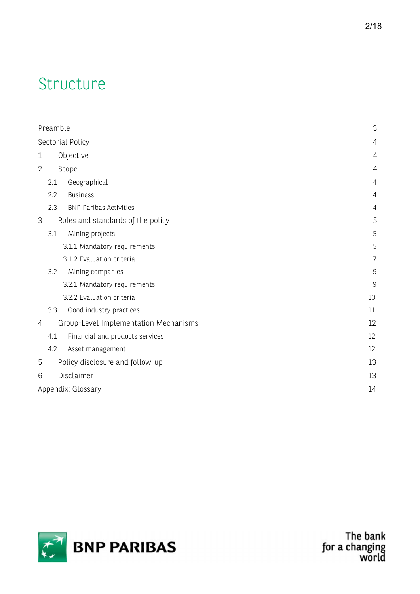# Structure

| Preamble       |                                       |                                       |                |  |  |  |
|----------------|---------------------------------------|---------------------------------------|----------------|--|--|--|
|                | Sectorial Policy<br>4                 |                                       |                |  |  |  |
| $\mathbf 1$    |                                       | Objective                             |                |  |  |  |
| $\overline{2}$ |                                       | Scope                                 | 4              |  |  |  |
|                | 2.1                                   | Geographical                          | $\overline{4}$ |  |  |  |
|                | 2.2                                   | <b>Business</b>                       | 4              |  |  |  |
|                | 2.3                                   | <b>BNP Paribas Activities</b>         | 4              |  |  |  |
| 3              |                                       | Rules and standards of the policy     |                |  |  |  |
|                | 3.1                                   | Mining projects                       | 5              |  |  |  |
|                |                                       | 3.1.1 Mandatory requirements          | 5              |  |  |  |
|                |                                       | 3.1.2 Evaluation criteria             | 7              |  |  |  |
|                | 3.2                                   | Mining companies                      | $\mathsf 9$    |  |  |  |
|                |                                       | 3.2.1 Mandatory requirements          | 9              |  |  |  |
|                |                                       | 3.2.2 Evaluation criteria             | 10             |  |  |  |
|                | 3.3                                   | Good industry practices               | 11             |  |  |  |
| 4              | Group-Level Implementation Mechanisms |                                       | 12             |  |  |  |
|                | 4.1                                   | Financial and products services       | 12             |  |  |  |
|                | 4.2                                   | Asset management                      | 12             |  |  |  |
| 5              |                                       | Policy disclosure and follow-up<br>13 |                |  |  |  |
| 6              | Disclaimer<br>13                      |                                       |                |  |  |  |
|                | Appendix: Glossary<br>14              |                                       |                |  |  |  |
|                |                                       |                                       |                |  |  |  |



The bank<br>for a changing<br>world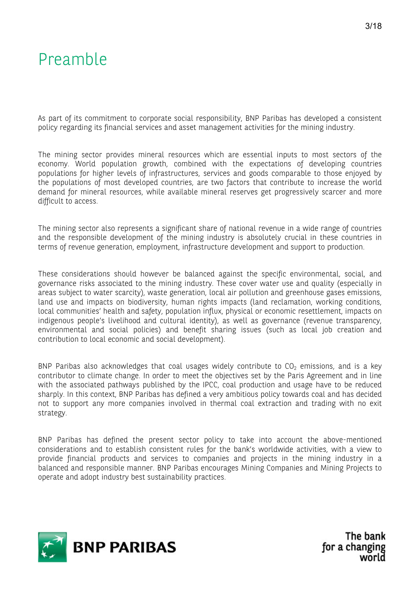# Preamble

As part of its commitment to corporate social responsibility, BNP Paribas has developed a consistent policy regarding its financial services and asset management activities for the mining industry.

The mining sector provides mineral resources which are essential inputs to most sectors of the economy. World population growth, combined with the expectations of developing countries populations for higher levels of infrastructures, services and goods comparable to those enjoyed by the populations of most developed countries, are two factors that contribute to increase the world demand for mineral resources, while available mineral reserves get progressively scarcer and more difficult to access.

The mining sector also represents a significant share of national revenue in a wide range of countries and the responsible development of the mining industry is absolutely crucial in these countries in terms of revenue generation, employment, infrastructure development and support to production.

These considerations should however be balanced against the specific environmental, social, and governance risks associated to the mining industry. These cover water use and quality (especially in areas subject to water scarcity), waste generation, local air pollution and greenhouse gases emissions, land use and impacts on biodiversity, human rights impacts (land reclamation, working conditions, local communities' health and safety, population influx, physical or economic resettlement, impacts on indigenous people's livelihood and cultural identity), as well as governance (revenue transparency, environmental and social policies) and benefit sharing issues (such as local job creation and contribution to local economic and social development).

BNP Paribas also acknowledges that coal usages widely contribute to  $CO<sub>2</sub>$  emissions, and is a key contributor to climate change. In order to meet the objectives set by the Paris Agreement and in line with the associated pathways published by the IPCC, coal production and usage have to be reduced sharply. In this context, BNP Paribas has defined a very ambitious policy towards coal and has decided not to support any more companies involved in thermal coal extraction and trading with no exit strategy.

BNP Paribas has defined the present sector policy to take into account the above-mentioned considerations and to establish consistent rules for the bank's worldwide activities, with a view to provide financial products and services to companies and projects in the mining industry in a balanced and responsible manner. BNP Paribas encourages Mining Companies and Mining Projects to operate and adopt industry best sustainability practices.

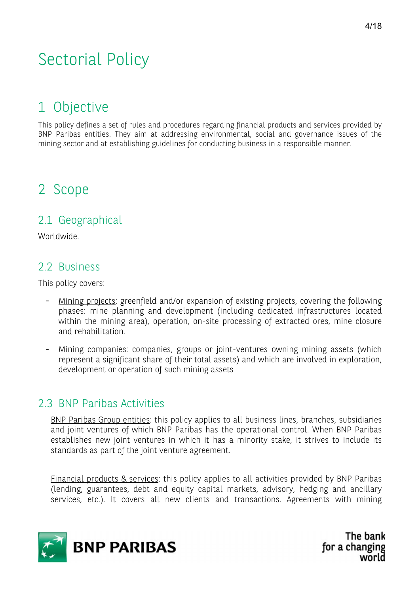# Sectorial Policy

### 1 Objective

This policy defines a set of rules and procedures regarding financial products and services provided by BNP Paribas entities. They aim at addressing environmental, social and governance issues of the mining sector and at establishing guidelines for conducting business in a responsible manner.

### 2 Scope

#### 2.1 Geographical

Worldwide.

#### 2.2 Business

This policy covers:

- Mining projects: greenfield and/or expansion of existing projects, covering the following phases: mine planning and development (including dedicated infrastructures located within the mining area), operation, on-site processing of extracted ores, mine closure and rehabilitation.
- Mining companies: companies, groups or joint-ventures owning mining assets (which represent a significant share of their total assets) and which are involved in exploration, development or operation of such mining assets

#### 2.3 BNP Paribas Activities

BNP Paribas Group entities: this policy applies to all business lines, branches, subsidiaries and joint ventures of which BNP Paribas has the operational control. When BNP Paribas establishes new joint ventures in which it has a minority stake, it strives to include its standards as part of the joint venture agreement.

Financial products & services: this policy applies to all activities provided by BNP Paribas (lending, guarantees, debt and equity capital markets, advisory, hedging and ancillary services, etc.). It covers all new clients and transactions. Agreements with mining

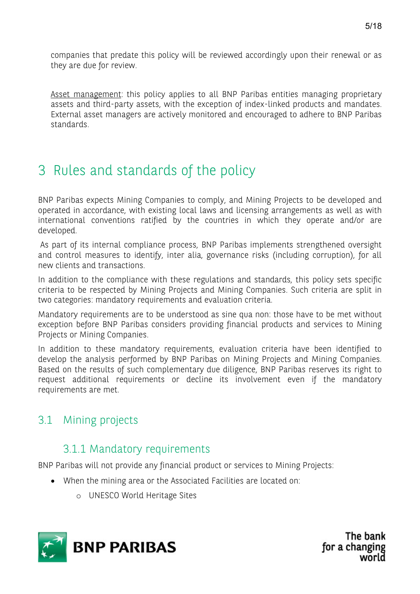Asset management: this policy applies to all BNP Paribas entities managing proprietary assets and third-party assets, with the exception of index-linked products and mandates. External asset managers are actively monitored and encouraged to adhere to BNP Paribas standards.

## 3 Rules and standards of the policy

BNP Paribas expects Mining Companies to comply, and Mining Projects to be developed and operated in accordance, with existing local laws and licensing arrangements as well as with international conventions ratified by the countries in which they operate and/or are developed.

 As part of its internal compliance process, BNP Paribas implements strengthened oversight and control measures to identify, inter alia, governance risks (including corruption), for all new clients and transactions.

In addition to the compliance with these regulations and standards, this policy sets specific criteria to be respected by Mining Projects and Mining Companies. Such criteria are split in two categories: mandatory requirements and evaluation criteria.

Mandatory requirements are to be understood as sine qua non: those have to be met without exception before BNP Paribas considers providing financial products and services to Mining Projects or Mining Companies.

In addition to these mandatory requirements, evaluation criteria have been identified to develop the analysis performed by BNP Paribas on Mining Projects and Mining Companies. Based on the results of such complementary due diligence, BNP Paribas reserves its right to request additional requirements or decline its involvement even if the mandatory requirements are met.

#### 3.1 Mining projects

#### 3.1.1 Mandatory requirements

BNP Paribas will not provide any financial product or services to Mining Projects:

- When the mining area or the Associated Facilities are located on:
	- o UNESCO World Heritage Sites

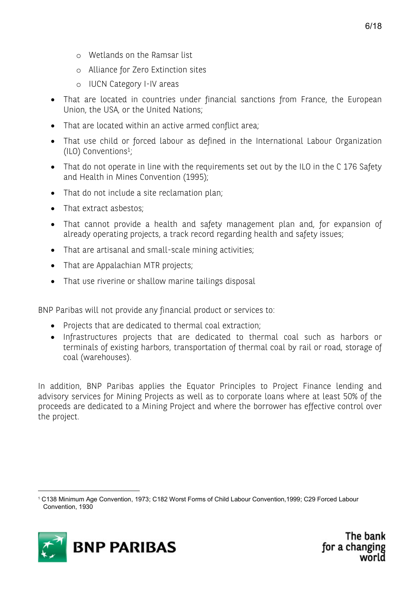- o Wetlands on the Ramsar list
- o Alliance for Zero Extinction sites
- o IUCN Category I-IV areas
- That are located in countries under financial sanctions from France, the European Union, the USA, or the United Nations;
- That are located within an active armed conflict area;
- That use child or forced labour as defined in the International Labour Organization (ILO) Conventions<sup>1</sup> ;
- That do not operate in line with the requirements set out by the ILO in the C 176 Safety and Health in Mines Convention (1995);
- That do not include a site reclamation plan;
- That extract asbestos:
- That cannot provide a health and safety management plan and, for expansion of already operating projects, a track record regarding health and safety issues;
- That are artisanal and small-scale mining activities;
- That are Appalachian MTR projects;
- That use riverine or shallow marine tailings disposal

BNP Paribas will not provide any financial product or services to:

- Projects that are dedicated to thermal coal extraction;
- Infrastructures projects that are dedicated to thermal coal such as harbors or terminals of existing harbors, transportation of thermal coal by rail or road, storage of coal (warehouses).

In addition, BNP Paribas applies the Equator Principles to Project Finance lending and advisory services for Mining Projects as well as to corporate loans where at least 50% of the proceeds are dedicated to a Mining Project and where the borrower has effective control over the project.

<sup>1</sup> C138 Minimum Age Convention, 1973; C182 Worst Forms of Child Labour Convention,1999; C29 Forced Labour Convention, 1930

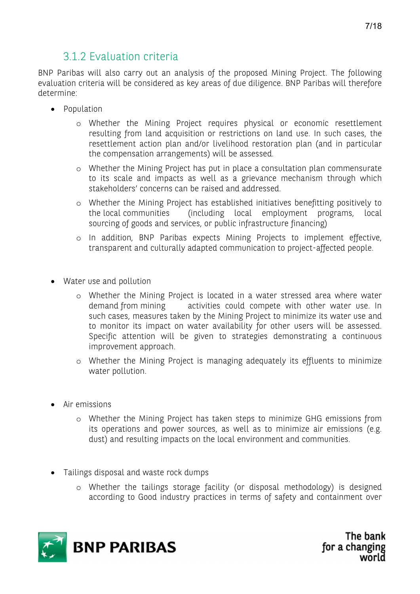#### 3.1.2 Evaluation criteria

BNP Paribas will also carry out an analysis of the proposed Mining Project. The following evaluation criteria will be considered as key areas of due diligence. BNP Paribas will therefore determine:

- Population
	- o Whether the Mining Project requires physical or economic resettlement resulting from land acquisition or restrictions on land use. In such cases, the resettlement action plan and/or livelihood restoration plan (and in particular the compensation arrangements) will be assessed.
	- o Whether the Mining Project has put in place a consultation plan commensurate to its scale and impacts as well as a grievance mechanism through which stakeholders' concerns can be raised and addressed.
	- o Whether the Mining Project has established initiatives benefitting positively to the local communities (including local employment programs, local sourcing of goods and services, or public infrastructure financing)
	- o In addition, BNP Paribas expects Mining Projects to implement effective, transparent and culturally adapted communication to project-affected people.
- Water use and pollution
	- o Whether the Mining Project is located in a water stressed area where water demand from mining activities could compete with other water use. In such cases, measures taken by the Mining Project to minimize its water use and to monitor its impact on water availability for other users will be assessed. Specific attention will be given to strategies demonstrating a continuous improvement approach.
	- o Whether the Mining Project is managing adequately its effluents to minimize water pollution.
- Air emissions
	- o Whether the Mining Project has taken steps to minimize GHG emissions from its operations and power sources, as well as to minimize air emissions (e.g. dust) and resulting impacts on the local environment and communities.
- Tailings disposal and waste rock dumps
	- o Whether the tailings storage facility (or disposal methodology) is designed according to Good industry practices in terms of safety and containment over

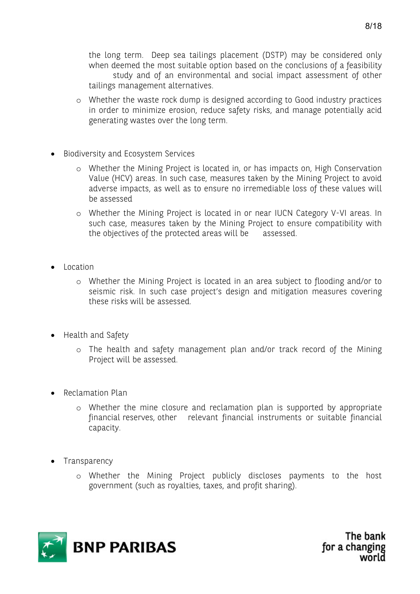the long term. Deep sea tailings placement (DSTP) may be considered only when deemed the most suitable option based on the conclusions of a feasibility study and of an environmental and social impact assessment of other tailings management alternatives.

- o Whether the waste rock dump is designed according to Good industry practices in order to minimize erosion, reduce safety risks, and manage potentially acid generating wastes over the long term.
- Biodiversity and Ecosystem Services
	- o Whether the Mining Project is located in, or has impacts on, High Conservation Value (HCV) areas. In such case, measures taken by the Mining Project to avoid adverse impacts, as well as to ensure no irremediable loss of these values will be assessed
	- o Whether the Mining Project is located in or near IUCN Category V-VI areas. In such case, measures taken by the Mining Project to ensure compatibility with the objectives of the protected areas will be assessed.
- Location
	- o Whether the Mining Project is located in an area subject to flooding and/or to seismic risk. In such case project's design and mitigation measures covering these risks will be assessed.
- Health and Safety
	- o The health and safety management plan and/or track record of the Mining Project will be assessed.
- Reclamation Plan
	- o Whether the mine closure and reclamation plan is supported by appropriate financial reserves, other relevant financial instruments or suitable financial capacity.
- Transparency
	- o Whether the Mining Project publicly discloses payments to the host government (such as royalties, taxes, and profit sharing).

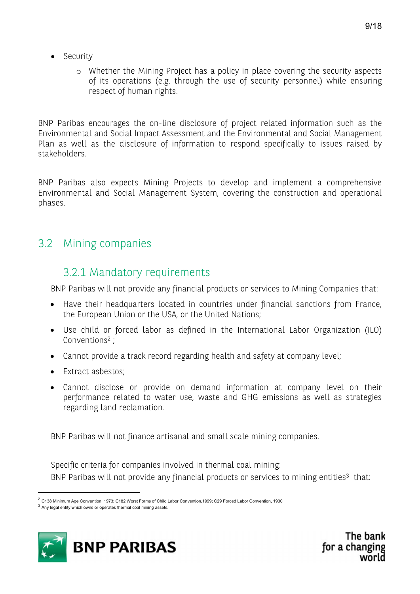- Security
	- o Whether the Mining Project has a policy in place covering the security aspects of its operations (e.g. through the use of security personnel) while ensuring respect of human rights.

BNP Paribas encourages the on-line disclosure of project related information such as the Environmental and Social Impact Assessment and the Environmental and Social Management Plan as well as the disclosure of information to respond specifically to issues raised by stakeholders.

BNP Paribas also expects Mining Projects to develop and implement a comprehensive Environmental and Social Management System, covering the construction and operational phases.

#### 3.2 Mining companies

#### 3.2.1 Mandatory requirements

BNP Paribas will not provide any financial products or services to Mining Companies that:

- Have their headquarters located in countries under financial sanctions from France, the European Union or the USA, or the United Nations;
- Use child or forced labor as defined in the International Labor Organization (ILO) Conventions<sup>2</sup> ;
- Cannot provide a track record regarding health and safety at company level;
- Extract asbestos;
- Cannot disclose or provide on demand information at company level on their performance related to water use, waste and GHG emissions as well as strategies regarding land reclamation.

BNP Paribas will not finance artisanal and small scale mining companies.

Specific criteria for companies involved in thermal coal mining: BNP Paribas will not provide any financial products or services to mining entities<sup>3</sup> that:



<sup>&</sup>lt;sup>2</sup> C138 Minimum Age Convention, 1973; C182 Worst Forms of Child Labor Convention, 1999; C29 Forced Labor Convention, 1930

 $3$  Any legal entity which owns or operates thermal coal mining assets.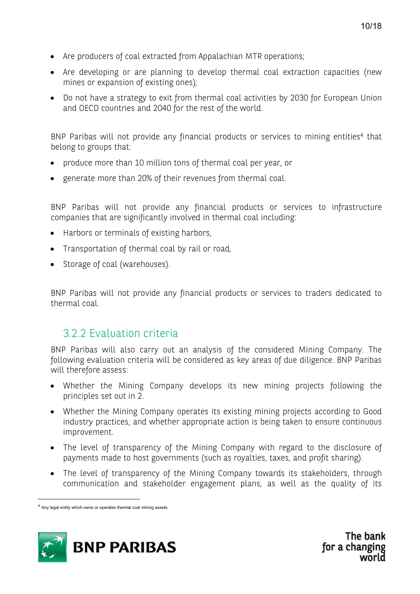- Are producers of coal extracted from Appalachian MTR operations;
- Are developing or are planning to develop thermal coal extraction capacities (new mines or expansion of existing ones);
- Do not have a strategy to exit from thermal coal activities by 2030 for European Union and OECD countries and 2040 for the rest of the world.

BNP Paribas will not provide any financial products or services to mining entities<sup>4</sup> that belong to groups that:

- produce more than 10 million tons of thermal coal per year, or
- generate more than 20% of their revenues from thermal coal.

BNP Paribas will not provide any financial products or services to infrastructure companies that are significantly involved in thermal coal including:

- Harbors or terminals of existing harbors,
- Transportation of thermal coal by rail or road,
- Storage of coal (warehouses).

BNP Paribas will not provide any financial products or services to traders dedicated to thermal coal.

#### 3.2.2 Evaluation criteria

BNP Paribas will also carry out an analysis of the considered Mining Company. The following evaluation criteria will be considered as key areas of due diligence. BNP Paribas will therefore assess:

- Whether the Mining Company develops its new mining projects following the principles set out in 2.
- Whether the Mining Company operates its existing mining projects according to Good industry practices, and whether appropriate action is being taken to ensure continuous improvement.
- The level of transparency of the Mining Company with regard to the disclosure of payments made to host governments (such as royalties, taxes, and profit sharing).
- The level of transparency of the Mining Company towards its stakeholders, through communication and stakeholder engagement plans, as well as the quality of its



<sup>&</sup>lt;sup>4</sup> Any legal entity which owns or operates thermal coal mining assets.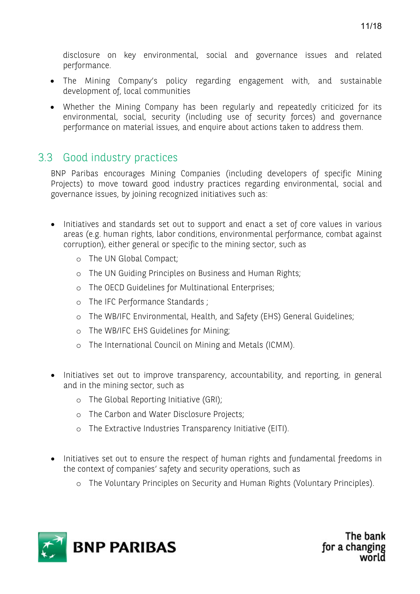disclosure on key environmental, social and governance issues and related performance.

- The Mining Company's policy regarding engagement with, and sustainable development of, local communities
- Whether the Mining Company has been regularly and repeatedly criticized for its environmental, social, security (including use of security forces) and governance performance on material issues, and enquire about actions taken to address them.

#### 3.3 Good industry practices

BNP Paribas encourages Mining Companies (including developers of specific Mining Projects) to move toward good industry practices regarding environmental, social and governance issues, by joining recognized initiatives such as:

- Initiatives and standards set out to support and enact a set of core values in various areas (e.g. human rights, labor conditions, environmental performance, combat against corruption), either general or specific to the mining sector, such as
	- o The UN Global Compact;
	- o The UN Guiding Principles on Business and Human Rights;
	- o The OECD Guidelines for Multinational Enterprises;
	- o The IFC Performance Standards ;
	- o The WB/IFC Environmental, Health, and Safety (EHS) General Guidelines;
	- o The WB/IFC EHS Guidelines for Mining;
	- o The International Council on Mining and Metals (ICMM).
- Initiatives set out to improve transparency, accountability, and reporting, in general and in the mining sector, such as
	- o The Global Reporting Initiative (GRI);
	- o The Carbon and Water Disclosure Projects;
	- o The Extractive Industries Transparency Initiative (EITI).
- Initiatives set out to ensure the respect of human rights and fundamental freedoms in the context of companies' safety and security operations, such as
	- o The Voluntary Principles on Security and Human Rights (Voluntary Principles).

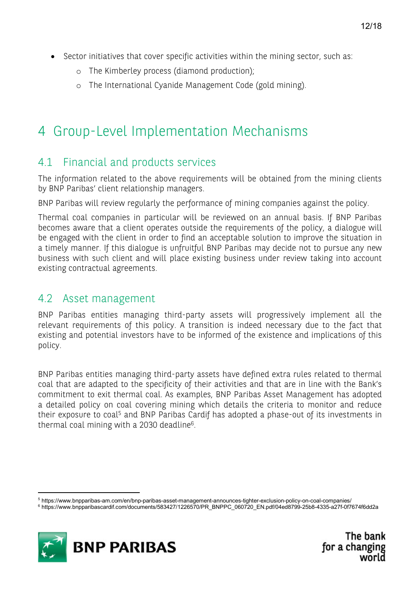- Sector initiatives that cover specific activities within the mining sector, such as:
	- o The Kimberley process (diamond production);
	- o The International Cyanide Management Code (gold mining).

### 4 Group-Level Implementation Mechanisms

#### 4.1 Financial and products services

The information related to the above requirements will be obtained from the mining clients by BNP Paribas' client relationship managers.

BNP Paribas will review regularly the performance of mining companies against the policy.

Thermal coal companies in particular will be reviewed on an annual basis. If BNP Paribas becomes aware that a client operates outside the requirements of the policy, a dialogue will be engaged with the client in order to find an acceptable solution to improve the situation in a timely manner. If this dialogue is unfruitful BNP Paribas may decide not to pursue any new business with such client and will place existing business under review taking into account existing contractual agreements.

#### 4.2 Asset management

BNP Paribas entities managing third-party assets will progressively implement all the relevant requirements of this policy. A transition is indeed necessary due to the fact that existing and potential investors have to be informed of the existence and implications of this policy.

BNP Paribas entities managing third-party assets have defined extra rules related to thermal coal that are adapted to the specificity of their activities and that are in line with the Bank's commitment to exit thermal coal. As examples, BNP Paribas Asset Management has adopted a detailed policy on coal covering mining which details the criteria to monitor and reduce their exposure to coal<sup>5</sup> and BNP Paribas Cardif has adopted a phase-out of its investments in thermal coal mining with a 2030 deadline $^6$ .

<sup>6</sup> https://www.bnpparibascardif.com/documents/583427/1226570/PR\_BNPPC\_060720\_EN.pdf/04ed8799-25b8-4335-a27f-0f7674f6dd2a



<sup>5</sup> https://www.bnpparibas-am.com/en/bnp-paribas-asset-management-announces-tighter-exclusion-policy-on-coal-companies/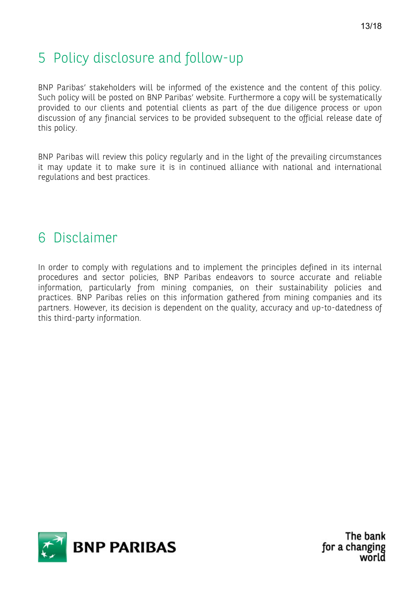### 5 Policy disclosure and follow-up

BNP Paribas' stakeholders will be informed of the existence and the content of this policy. Such policy will be posted on BNP Paribas' website. Furthermore a copy will be systematically provided to our clients and potential clients as part of the due diligence process or upon discussion of any financial services to be provided subsequent to the official release date of this policy.

BNP Paribas will review this policy regularly and in the light of the prevailing circumstances it may update it to make sure it is in continued alliance with national and international regulations and best practices.

### 6 Disclaimer

In order to comply with regulations and to implement the principles defined in its internal procedures and sector policies, BNP Paribas endeavors to source accurate and reliable information, particularly from mining companies, on their sustainability policies and practices. BNP Paribas relies on this information gathered from mining companies and its partners. However, its decision is dependent on the quality, accuracy and up-to-datedness of this third-party information.

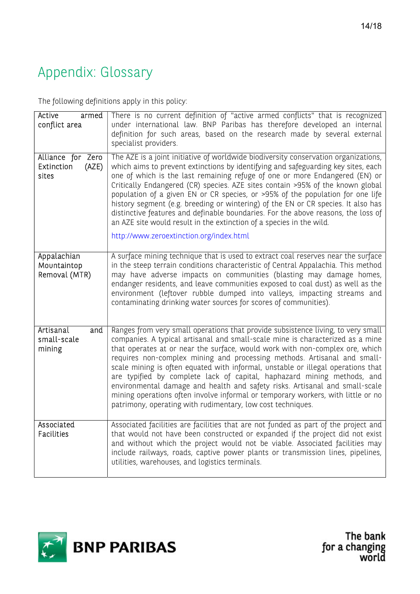# Appendix: Glossary

The following definitions apply in this policy:

| Active<br>armed<br>conflict area                  | There is no current definition of "active armed conflicts" that is recognized<br>under international law. BNP Paribas has therefore developed an internal<br>definition for such areas, based on the research made by several external<br>specialist providers.                                                                                                                                                                                                                                                                                                                                                                                                                                                                 |
|---------------------------------------------------|---------------------------------------------------------------------------------------------------------------------------------------------------------------------------------------------------------------------------------------------------------------------------------------------------------------------------------------------------------------------------------------------------------------------------------------------------------------------------------------------------------------------------------------------------------------------------------------------------------------------------------------------------------------------------------------------------------------------------------|
| Alliance for Zero<br>(AZE)<br>Extinction<br>sites | The AZE is a joint initiative of worldwide biodiversity conservation organizations,<br>which aims to prevent extinctions by identifying and safeguarding key sites, each<br>one of which is the last remaining refuge of one or more Endangered (EN) or<br>Critically Endangered (CR) species. AZE sites contain >95% of the known global<br>population of a given EN or CR species, or >95% of the population for one life<br>history segment (e.g. breeding or wintering) of the EN or CR species. It also has<br>distinctive features and definable boundaries. For the above reasons, the loss of<br>an AZE site would result in the extinction of a species in the wild.<br>http://www.zeroextinction.org/index.html       |
| Appalachian<br>Mountaintop<br>Removal (MTR)       | A surface mining technique that is used to extract coal reserves near the surface<br>in the steep terrain conditions characteristic of Central Appalachia. This method<br>may have adverse impacts on communities (blasting may damage homes,<br>endanger residents, and leave communities exposed to coal dust) as well as the<br>environment (leftover rubble dumped into valleys, impacting streams and<br>contaminating drinking water sources for scores of communities).                                                                                                                                                                                                                                                  |
| Artisanal<br>and<br>small-scale<br>mining         | Ranges from very small operations that provide subsistence living, to very small<br>companies. A typical artisanal and small-scale mine is characterized as a mine<br>that operates at or near the surface, would work with non-complex ore, which<br>requires non-complex mining and processing methods. Artisanal and small-<br>scale mining is often equated with informal, unstable or illegal operations that<br>are typified by complete lack of capital, haphazard mining methods, and<br>environmental damage and health and safety risks. Artisanal and small-scale<br>mining operations often involve informal or temporary workers, with little or no<br>patrimony, operating with rudimentary, low cost techniques. |
| Associated<br><b>Facilities</b>                   | Associated facilities are facilities that are not funded as part of the project and<br>that would not have been constructed or expanded if the project did not exist<br>and without which the project would not be viable. Associated facilities may<br>include railways, roads, captive power plants or transmission lines, pipelines,<br>utilities, warehouses, and logistics terminals.                                                                                                                                                                                                                                                                                                                                      |



The bank for a changing<br>world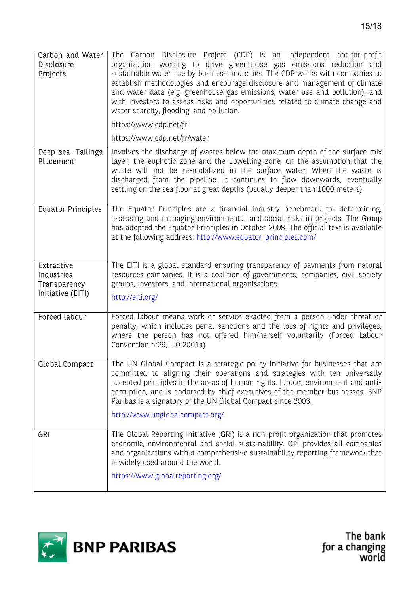| Carbon and Water<br>Disclosure<br>Projects                    | The Carbon Disclosure Project (CDP) is an independent not-for-profit<br>organization working to drive greenhouse gas emissions reduction and<br>sustainable water use by business and cities. The CDP works with companies to<br>establish methodologies and encourage disclosure and management of climate<br>and water data (e.g. greenhouse gas emissions, water use and pollution), and<br>with investors to assess risks and opportunities related to climate change and<br>water scarcity, flooding, and pollution.<br>https://www.cdp.net/fr<br>https://www.cdp.net/fr/water |
|---------------------------------------------------------------|-------------------------------------------------------------------------------------------------------------------------------------------------------------------------------------------------------------------------------------------------------------------------------------------------------------------------------------------------------------------------------------------------------------------------------------------------------------------------------------------------------------------------------------------------------------------------------------|
| Deep-sea Tailings<br>Placement                                | Involves the discharge of wastes below the maximum depth of the surface mix<br>layer, the euphotic zone and the upwelling zone, on the assumption that the<br>waste will not be re-mobilized in the surface water. When the waste is<br>discharged from the pipeline, it continues to flow downwards, eventually<br>settling on the sea floor at great depths (usually deeper than 1000 meters).                                                                                                                                                                                    |
| <b>Equator Principles</b>                                     | The Equator Principles are a financial industry benchmark for determining,<br>assessing and managing environmental and social risks in projects. The Group<br>has adopted the Equator Principles in October 2008. The official text is available<br>at the following address: http://www.equator-principles.com/                                                                                                                                                                                                                                                                    |
| Extractive<br>Industries<br>Transparency<br>Initiative (EITI) | The EITI is a global standard ensuring transparency of payments from natural<br>resources companies. It is a coalition of governments, companies, civil society<br>groups, investors, and international organisations.<br>http://eiti.org/                                                                                                                                                                                                                                                                                                                                          |
| Forced labour                                                 | Forced labour means work or service exacted from a person under threat or<br>penalty, which includes penal sanctions and the loss of rights and privileges,<br>where the person has not offered him/herself voluntarily (Forced Labour<br>Convention n°29, ILO 2001a)                                                                                                                                                                                                                                                                                                               |
| <b>Global Compact</b>                                         | The UN Global Compact is a strategic policy initiative for businesses that are<br>committed to aligning their operations and strategies with ten universally<br>accepted principles in the areas of human rights, labour, environment and anti-<br>corruption, and is endorsed by chief executives of the member businesses. BNP<br>Paribas is a signatory of the UN Global Compact since 2003.<br>http://www.unglobalcompact.org/                                                                                                                                                  |
| GRI                                                           | The Global Reporting Initiative (GRI) is a non-profit organization that promotes<br>economic, environmental and social sustainability. GRI provides all companies<br>and organizations with a comprehensive sustainability reporting framework that<br>is widely used around the world.<br>https://www.globalreporting.org/                                                                                                                                                                                                                                                         |



The bank<br>for a changing<br>world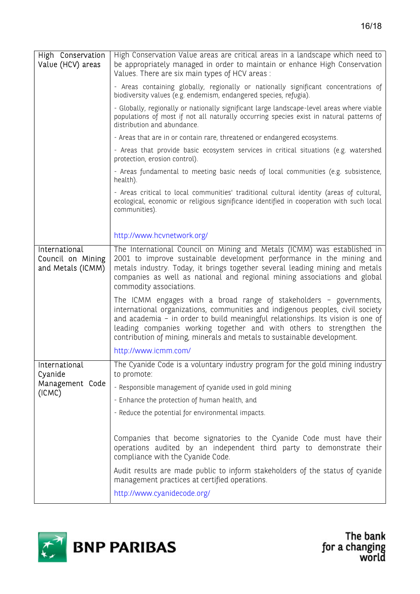| High Conservation<br>Value (HCV) areas                  | High Conservation Value areas are critical areas in a landscape which need to<br>be appropriately managed in order to maintain or enhance High Conservation<br>Values. There are six main types of HCV areas :                                                                                                                                                                             |
|---------------------------------------------------------|--------------------------------------------------------------------------------------------------------------------------------------------------------------------------------------------------------------------------------------------------------------------------------------------------------------------------------------------------------------------------------------------|
|                                                         | - Areas containing globally, regionally or nationally significant concentrations of<br>biodiversity values (e.g. endemism, endangered species, refugia).                                                                                                                                                                                                                                   |
|                                                         | - Globally, regionally or nationally significant large landscape-level areas where viable<br>populations of most if not all naturally occurring species exist in natural patterns of<br>distribution and abundance.                                                                                                                                                                        |
|                                                         | - Areas that are in or contain rare, threatened or endangered ecosystems.                                                                                                                                                                                                                                                                                                                  |
|                                                         | - Areas that provide basic ecosystem services in critical situations (e.g. watershed<br>protection, erosion control).                                                                                                                                                                                                                                                                      |
|                                                         | - Areas fundamental to meeting basic needs of local communities (e.g. subsistence,<br>health).                                                                                                                                                                                                                                                                                             |
|                                                         | - Areas critical to local communities' traditional cultural identity (areas of cultural,<br>ecological, economic or religious significance identified in cooperation with such local<br>communities).                                                                                                                                                                                      |
|                                                         | http://www.hcvnetwork.org/                                                                                                                                                                                                                                                                                                                                                                 |
| International<br>Council on Mining<br>and Metals (ICMM) | The International Council on Mining and Metals (ICMM) was established in<br>2001 to improve sustainable development performance in the mining and<br>metals industry. Today, it brings together several leading mining and metals<br>companies as well as national and regional mining associations and global<br>commodity associations.                                                  |
|                                                         | The ICMM engages with a broad range of stakeholders - governments,<br>international organizations, communities and indigenous peoples, civil society<br>and academia - in order to build meaningful relationships. Its vision is one of<br>leading companies working together and with others to strengthen the<br>contribution of mining, minerals and metals to sustainable development. |
|                                                         | http://www.icmm.com/                                                                                                                                                                                                                                                                                                                                                                       |
| International<br>Cyanide                                | The Cyanide Code is a voluntary industry program for the gold mining industry<br>to promote:                                                                                                                                                                                                                                                                                               |
| Management Code<br>(ICMC)                               | - Responsible management of cyanide used in gold mining                                                                                                                                                                                                                                                                                                                                    |
|                                                         | - Enhance the protection of human health, and                                                                                                                                                                                                                                                                                                                                              |
|                                                         | - Reduce the potential for environmental impacts.                                                                                                                                                                                                                                                                                                                                          |
|                                                         |                                                                                                                                                                                                                                                                                                                                                                                            |
|                                                         | Companies that become signatories to the Cyanide Code must have their<br>operations audited by an independent third party to demonstrate their<br>compliance with the Cyanide Code.                                                                                                                                                                                                        |
|                                                         | Audit results are made public to inform stakeholders of the status of cyanide<br>management practices at certified operations.                                                                                                                                                                                                                                                             |
|                                                         | http://www.cyanidecode.org/                                                                                                                                                                                                                                                                                                                                                                |



The bank<br>for a changing<br>world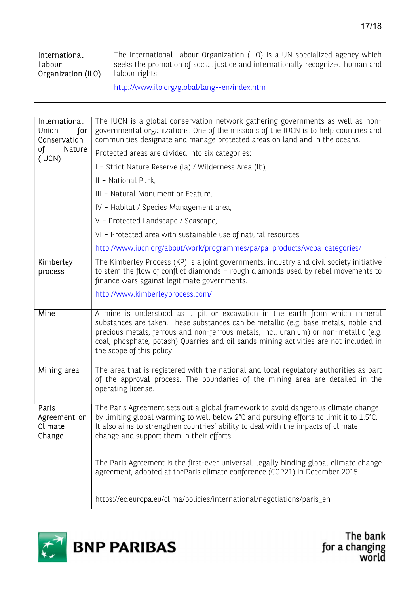| International      | The International Labour Organization (ILO) is a UN specialized agency which   |
|--------------------|--------------------------------------------------------------------------------|
| Labour             | seeks the promotion of social justice and internationally recognized human and |
| Organization (ILO) | labour rights.                                                                 |
|                    | http://www.ilo.org/global/lang--en/index.htm                                   |

| International<br>for<br>Union<br>Conservation | The IUCN is a global conservation network gathering governments as well as non-<br>governmental organizations. One of the missions of the IUCN is to help countries and<br>communities designate and manage protected areas on land and in the oceans.                                                                                                                            |
|-----------------------------------------------|-----------------------------------------------------------------------------------------------------------------------------------------------------------------------------------------------------------------------------------------------------------------------------------------------------------------------------------------------------------------------------------|
| οf<br>Nature<br>(IUCN)                        | Protected areas are divided into six categories:                                                                                                                                                                                                                                                                                                                                  |
|                                               | I - Strict Nature Reserve (Ia) / Wilderness Area (Ib),                                                                                                                                                                                                                                                                                                                            |
|                                               | II - National Park,                                                                                                                                                                                                                                                                                                                                                               |
|                                               | III - Natural Monument or Feature,                                                                                                                                                                                                                                                                                                                                                |
|                                               | IV - Habitat / Species Management area,                                                                                                                                                                                                                                                                                                                                           |
|                                               | V - Protected Landscape / Seascape,                                                                                                                                                                                                                                                                                                                                               |
|                                               | VI - Protected area with sustainable use of natural resources                                                                                                                                                                                                                                                                                                                     |
|                                               | http://www.iucn.org/about/work/programmes/pa/pa_products/wcpa_categories/                                                                                                                                                                                                                                                                                                         |
| Kimberley<br>process                          | The Kimberley Process (KP) is a joint governments, industry and civil society initiative<br>to stem the flow of conflict diamonds - rough diamonds used by rebel movements to<br>finance wars against legitimate governments.                                                                                                                                                     |
|                                               | http://www.kimberleyprocess.com/                                                                                                                                                                                                                                                                                                                                                  |
| Mine                                          | A mine is understood as a pit or excavation in the earth from which mineral<br>substances are taken. These substances can be metallic (e.g. base metals, noble and<br>precious metals, ferrous and non-ferrous metals, incl. uranium) or non-metallic (e.g.<br>coal, phosphate, potash) Quarries and oil sands mining activities are not included in<br>the scope of this policy. |
| Mining area                                   | The area that is registered with the national and local regulatory authorities as part<br>of the approval process. The boundaries of the mining area are detailed in the<br>operating license.                                                                                                                                                                                    |
| Paris<br>Agreement on<br>Climate<br>Change    | The Paris Agreement sets out a global framework to avoid dangerous climate change<br>by limiting global warming to well below 2°C and pursuing efforts to limit it to 1.5°C.<br>It also aims to strengthen countries' ability to deal with the impacts of climate<br>change and support them in their efforts.                                                                    |
|                                               | The Paris Agreement is the first-ever universal, legally binding global climate change<br>agreement, adopted at theParis climate conference (COP21) in December 2015.                                                                                                                                                                                                             |
|                                               | https://ec.europa.eu/clima/policies/international/negotiations/paris_en                                                                                                                                                                                                                                                                                                           |